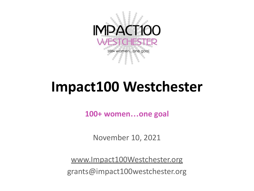

# **Impact100 Westchester**

**100+ women…one goal**

November 10, 2021

[www.Impact100Westchester.org](https://www.google.com/url?q=http://www.impact100westchester.org/&sa=D&source=editors&ust=1636580631944000&usg=AOvVaw3P3FMe0Lq63FPLNBeT025b)

grants@impact100westchester.org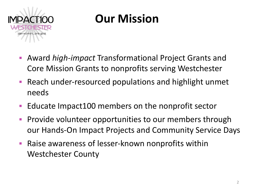

### **Our Mission**

- Award *high-impact* Transformational Project Grants and Core Mission Grants to nonprofits serving Westchester
- Reach under-resourced populations and highlight unmet needs
- Educate Impact100 members on the nonprofit sector
- **Provide volunteer opportunities to our members through** our Hands-On Impact Projects and Community Service Days
- **Raise awareness of lesser-known nonprofits within** Westchester County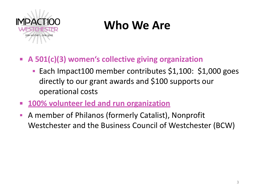

### **Who We Are**

- **A 501(c)(3) women's collective giving organization**
	- Each Impact100 member contributes \$1,100: \$1,000 goes directly to our grant awards and \$100 supports our operational costs
- **100% volunteer led and run organization**
- A member of Philanos (formerly Catalist), Nonprofit Westchester and the Business Council of Westchester (BCW)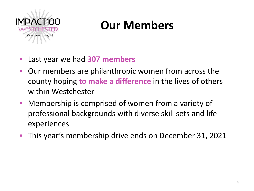

### **Our Members**

- Last year we had **307 members**
- Our members are philanthropic women from across the county hoping **to make a difference** in the lives of others within Westchester
- Membership is comprised of women from a variety of professional backgrounds with diverse skill sets and life experiences
- This year's membership drive ends on December 31, 2021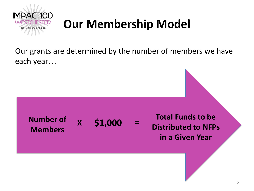

## **Our Membership Model**

Our grants are determined by the number of members we have each year…

**Number of Members X** \$1,000

**\$1,000 Total Funds to be Distributed to NFPs in a Given Year**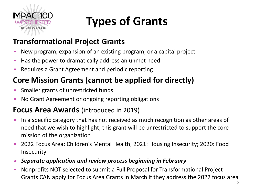

# **Types of Grants**

#### **Transformational Project Grants**

- New program, expansion of an existing program, or a capital project
- Has the power to dramatically address an unmet need
- Requires a Grant Agreement and periodic reporting

#### **Core Mission Grants (cannot be applied for directly)**

- Smaller grants of unrestricted funds
- No Grant Agreement or ongoing reporting obligations

#### **Focus Area Awards** (introduced in 2019)

- In a specific category that has not received as much recognition as other areas of need that we wish to highlight; this grant will be unrestricted to support the core mission of the organization
- 2022 Focus Area: Children's Mental Health; 2021: Housing Insecurity; 2020: Food Insecurity
- *Separate application and review process beginning in February*
- Nonprofits NOT selected to submit a Full Proposal for Transformational Project Grants CAN apply for Focus Area Grants in March if they address the 2022 focus area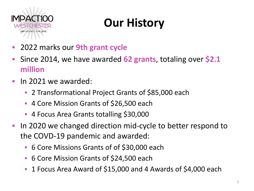

## **Our History**

- 2022 marks our **9th grant cycle**
- Since 2014, we have awarded **62 grants**, totaling over **\$2.1 million**
- **In 2021 we awarded:** 
	- 2 Transformational Project Grants of \$85,000 each
	- 4 Core Mission Grants of \$26,500 each
	- 4 Focus Area Grants totalling \$30,000
- In 2020 we changed direction mid-cycle to better respond to the COVD-19 pandemic and awarded:
	- 6 Core Missions Grants of of \$30,000 each
	- 6 Core Mission Grants of \$24,500 each
	- 1 Focus Area Award of \$15,000 and 4 Awards of \$4,000 each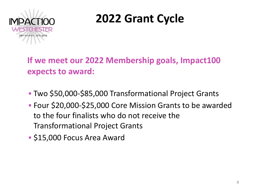

### **2022 Grant Cycle**

**If we meet our 2022 Membership goals, Impact100 expects to award:**

- Two \$50,000-\$85,000 Transformational Project Grants
- Four \$20,000-\$25,000 Core Mission Grants to be awarded to the four finalists who do not receive the Transformational Project Grants
- \$15,000 Focus Area Award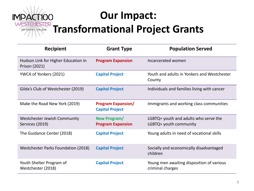#### **Our Impact:** ER **Transformational Project Grants** 100+ women...one goal

| <b>Recipient</b>                                     | <b>Grant Type</b>                                   | <b>Population Served</b>                                        |
|------------------------------------------------------|-----------------------------------------------------|-----------------------------------------------------------------|
| Hudson Link for Higher Education In<br>Prison (2021) | <b>Program Expansion</b>                            | Incarcerated women                                              |
| YWCA of Yonkers (2021)                               | <b>Capital Project</b>                              | Youth and adults in Yonkers and Westchester<br>County           |
| Gilda's Club of Westchester (2019)                   | <b>Capital Project</b>                              | Individuals and families living with cancer                     |
| Make the Road New York (2019)                        | <b>Program Expansion/</b><br><b>Capital Project</b> | Immigrants and working class communities                        |
| Westchester Jewish Community<br>Services (2019)      | New Program/<br><b>Program Expansion</b>            | LGBTQ+ youth and adults who serve the<br>LGBTQ+ youth community |
| The Guidance Center (2018)                           | <b>Capital Project</b>                              | Young adults in need of vocational skills                       |
| Westchester Parks Foundation (2018)                  | <b>Capital Project</b>                              | Socially and economically disadvantaged<br>children             |
| Youth Shelter Program of<br>Westchester (2018)       | <b>Capital Project</b>                              | Young men awaiting disposition of various<br>criminal charges   |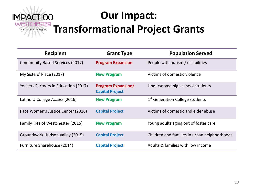

#### **Our Impact: Transformational Project Grants**

| Recipient                              | <b>Grant Type</b>                                   | <b>Population Served</b>                     |
|----------------------------------------|-----------------------------------------------------|----------------------------------------------|
| <b>Community Based Services (2017)</b> | <b>Program Expansion</b>                            | People with autism / disabilities            |
| My Sisters' Place (2017)               | <b>New Program</b>                                  | Victims of domestic violence                 |
| Yonkers Partners in Education (2017)   | <b>Program Expansion/</b><br><b>Capital Project</b> | Underserved high school students             |
| Latino U College Access (2016)         | <b>New Program</b>                                  | 1 <sup>st</sup> Generation College students  |
| Pace Women's Justice Center (2016)     | <b>Capital Project</b>                              | Victims of domestic and elder abuse          |
| Family Ties of Westchester (2015)      | <b>New Program</b>                                  | Young adults aging out of foster care        |
| Groundwork Hudson Valley (2015)        | <b>Capital Project</b>                              | Children and families in urban neighborhoods |
| Furniture Sharehouse (2014)            | <b>Capital Project</b>                              | Adults & families with low income            |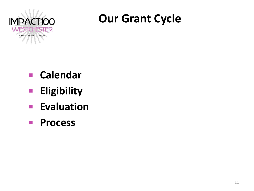

#### **Our Grant Cycle**

- **Calendar**
- **Eligibility**
- **Evaluation**
- **Process**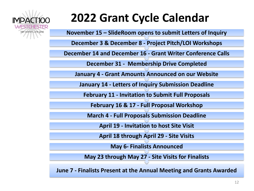

### **2022 Grant Cycle Calendar**

**November 15 – SlideRoom opens to submit Letters of Inquiry**

**December 3 & December 8 - Project Pitch/LOI Workshops**

**December 14 and December 16 - Grant Writer Conference Calls**

**December 31 - Membership Drive Completed**

**January 4 - Grant Amounts Announced on our Website**

**January 14 - Letters of Inquiry Submission Deadline**

**February 11 - Invitation to Submit Full Proposals**

**February 16 & 17 - Full Proposal Workshop**

**March 4 - Full Proposals Submission Deadline**

**April 19 - Invitation to host Site Visit**

**April 18 through April 29 - Site Visits**

**May 6- Finalists Announced**

**May 23 through May 27 - Site Visits for Finalists**

**June 7 - Finalists Present at the Annual Meeting and Grants Awarded**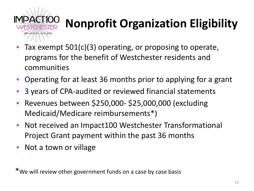

# **Nonprofit Organization Eligibility**

- Tax exempt  $501(c)(3)$  operating, or proposing to operate, programs for the benefit of Westchester residents and communities
- Operating for at least 36 months prior to applying for a grant
- 3 years of CPA-audited or reviewed financial statements
- Revenues between \$250,000- \$25,000,000 (excluding Medicaid/Medicare reimbursements\*)
- Not received an Impact100 Westchester Transformational Project Grant payment within the past 36 months
- Not a town or village

\*We will review other government funds on a case by case basis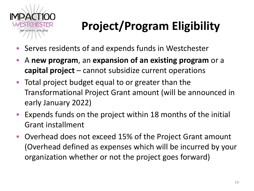

# **Project/Program Eligibility**

- Serves residents of and expends funds in Westchester
- A **new program**, an **expansion of an existing program** or a **capital project** – cannot subsidize current operations
- **Total project budget equal to or greater than the** Transformational Project Grant amount (will be announced in early January 2022)
- Expends funds on the project within 18 months of the initial Grant installment
- Overhead does not exceed 15% of the Project Grant amount (Overhead defined as expenses which will be incurred by your organization whether or not the project goes forward)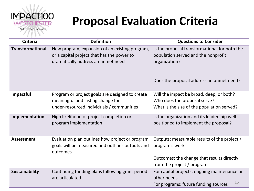

### **Proposal Evaluation Criteria**

| <b>Criteria</b>         | <b>Definition</b>                                                                                                                  | <b>Questions to Consider</b>                                                                                                                      |
|-------------------------|------------------------------------------------------------------------------------------------------------------------------------|---------------------------------------------------------------------------------------------------------------------------------------------------|
| <b>Transformational</b> | New program, expansion of an existing program,<br>or a capital project that has the power to<br>dramatically address an unmet need | Is the proposal transformational for both the<br>population served and the nonprofit<br>organization?<br>Does the proposal address an unmet need? |
| Impactful               | Program or project goals are designed to create<br>meaningful and lasting change for<br>under-resourced individuals / communities  | Will the impact be broad, deep, or both?<br>Who does the proposal serve?<br>What is the size of the population served?                            |
| Implementation          | High likelihood of project completion or<br>program implementation                                                                 | Is the organization and its leadership well<br>positioned to implement the proposal?                                                              |
| <b>Assessment</b>       | Evaluation plan outlines how project or program<br>goals will be measured and outlines outputs and<br>outcomes                     | Outputs: measurable results of the project /<br>program's work<br>Outcomes: the change that results directly                                      |
|                         |                                                                                                                                    | from the project / program                                                                                                                        |
| Sustainability          | Continuing funding plans following grant period<br>are articulated                                                                 | For capital projects: ongoing maintenance or<br>other needs<br>15<br>For programs: future funding sources                                         |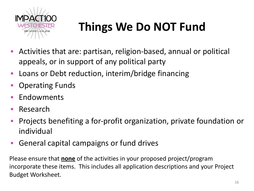

# **Things We Do NOT Fund**

- Activities that are: partisan, religion-based, annual or political appeals, or in support of any political party
- Loans or Debt reduction, interim/bridge financing
- Operating Funds
- **Endowments**
- Research
- Projects benefiting a for-profit organization, private foundation or individual
- General capital campaigns or fund drives

Please ensure that **none** of the activities in your proposed project/program incorporate these items. This includes all application descriptions and your Project Budget Worksheet.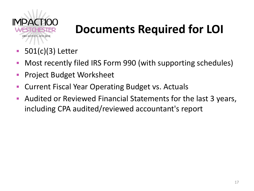

### **Documents Required for LOI**

- $501(c)(3)$  Letter
- Most recently filed IRS Form 990 (with supporting schedules)
- **Project Budget Worksheet**
- **Current Fiscal Year Operating Budget vs. Actuals**
- Audited or Reviewed Financial Statements for the last 3 years, including CPA audited/reviewed accountant's report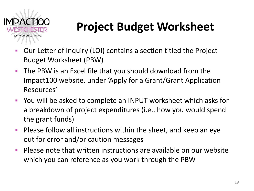

## **Project Budget Worksheet**

- Our Letter of Inquiry (LOI) contains a section titled the Project Budget Worksheet (PBW)
- The PBW is an Excel file that you should download from the Impact100 website, under 'Apply for a Grant/Grant Application Resources'
- You will be asked to complete an INPUT worksheet which asks for a breakdown of project expenditures (i.e., how you would spend the grant funds)
- **Please follow all instructions within the sheet, and keep an eye** out for error and/or caution messages
- Please note that written instructions are available on our website which you can reference as you work through the PBW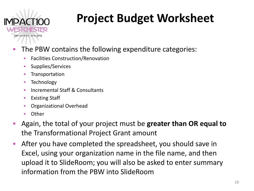

# **Project Budget Worksheet**

- The PBW contains the following expenditure categories:
	- **EXECOLERCY Facilities Construction/Renovation**
	- **E** Supplies/Services
	- **EXECUTE:** Transportation
	- Technology
	- Incremental Staff & Consultants
	- Existing Staff
	- Organizational Overhead
	- Other
- Again, the total of your project must be greater than OR equal to the Transformational Project Grant amount
- After you have completed the spreadsheet, you should save in Excel, using your organization name in the file name, and then upload it to SlideRoom; you will also be asked to enter summary information from the PBW into SlideRoom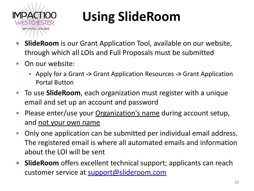

# **Using SlideRoom**

- **E.** SlideRoom is our Grant Application Tool, available on our website, through which all LOIs and Full Proposals must be submitted
- On our website:
	- Apply for a Grant **->** Grant Application Resources **->** Grant Application Portal Button
- To use **SlideRoom**, each organization must register with a unique email and set up an account and password
- **Please enter/use your Organization's name during account setup,** and not your own name
- Only one application can be submitted per individual email address. The registered email is where all automated emails and information about the LOI will be sent
- **EXTE:** SlideRoom offers excellent technical support; applicants can reach customer service at [support@slideroom.com](mailto:support@slideroom.com)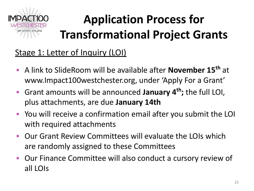

# **Application Process for Transformational Project Grants**

#### Stage 1: Letter of Inquiry (LOI)

- A link to SlideRoom will be available after **November 15th** at www.Impact100westchester.org, under 'Apply For a Grant'
- Grant amounts will be announced **January 4th;** the full LOI, plus attachments, are due **January 14th**
- You will receive a confirmation email after you submit the LOI with required attachments
- Our Grant Review Committees will evaluate the LOIs which are randomly assigned to these Committees
- Our Finance Committee will also conduct a cursory review of all LOIs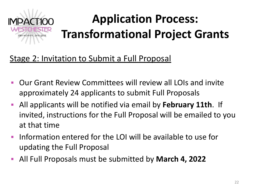

#### Stage 2: Invitation to Submit a Full Proposal

- Our Grant Review Committees will review all LOIs and invite approximately 24 applicants to submit Full Proposals
- All applicants will be notified via email by **February 11th**. If invited, instructions for the Full Proposal will be emailed to you at that time
- **Information entered for the LOI will be available to use for** updating the Full Proposal
- All Full Proposals must be submitted by **March 4, 2022**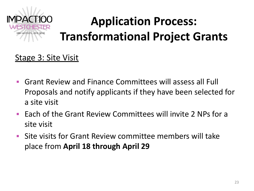

# **Application Process: Transformational Project Grants**

#### Stage 3: Site Visit

- Grant Review and Finance Committees will assess all Full Proposals and notify applicants if they have been selected for a site visit
- Each of the Grant Review Committees will invite 2 NPs for a site visit
- Site visits for Grant Review committee members will take place from **April 18 through April 29**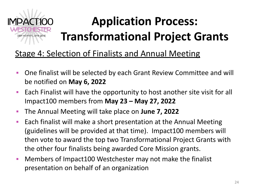

# **Application Process: Transformational Project Grants**

#### Stage 4: Selection of Finalists and Annual Meeting

- One finalist will be selected by each Grant Review Committee and will be notified on **May 6, 2022**
- Each Finalist will have the opportunity to host another site visit for all Impact100 members from **May 23 – May 27, 2022**
- The Annual Meeting will take place on **June 7, 2022**
- Each finalist will make a short presentation at the Annual Meeting (guidelines will be provided at that time). Impact100 members will then vote to award the top two Transformational Project Grants with the other four finalists being awarded Core Mission grants.
- Members of Impact100 Westchester may not make the finalist presentation on behalf of an organization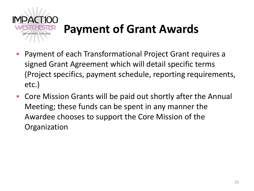

### **Payment of Grant Awards**

- Payment of each Transformational Project Grant requires a signed Grant Agreement which will detail specific terms (Project specifics, payment schedule, reporting requirements, etc.)
- Core Mission Grants will be paid out shortly after the Annual Meeting; these funds can be spent in any manner the Awardee chooses to support the Core Mission of the **Organization**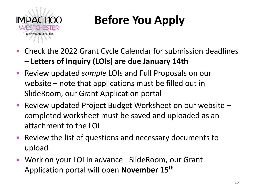

# **Before You Apply**

- Check the 2022 Grant Cycle Calendar for submission deadlines – **Letters of Inquiry (LOIs) are due January 14th**
- Review updated *sample* LOIs and Full Proposals on our website – note that applications must be filled out in SlideRoom, our Grant Application portal
- Review updated Project Budget Worksheet on our website completed worksheet must be saved and uploaded as an attachment to the LOI
- Review the list of questions and necessary documents to upload
- Work on your LOI in advance– SlideRoom, our Grant Application portal will open **November 15th**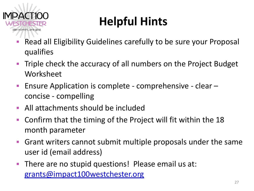

# **Helpful Hints**

- Read all Eligibility Guidelines carefully to be sure your Proposal qualifies
- Triple check the accuracy of all numbers on the Project Budget Worksheet
- Ensure Application is complete comprehensive clear concise - compelling
- All attachments should be included
- Confirm that the timing of the Project will fit within the 18 month parameter
- Grant writers cannot submit multiple proposals under the same user id (email address)
- **There are no stupid questions! Please email us at:** [grants@impact100westchester.org](mailto:grants@impact100westchester.org)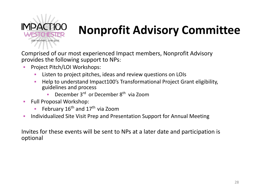

### **N. Nonprofit Advisory Committee**

Comprised of our most experienced Impact members, Nonprofit Advisory provides the following support to NPs:

- Project Pitch/LOI Workshops:
	- Listen to project pitches, ideas and review questions on LOIs
	- Help to understand Impact100's Transformational Project Grant eligibility, guidelines and process
		- **December 3<sup>rd</sup> or December 8<sup>th</sup> via Zoom**
- **Full Proposal Workshop:** 
	- **•** February  $16^{th}$  and  $17^{th}$  via Zoom
- Individualized Site Visit Prep and Presentation Support for Annual Meeting

Invites for these events will be sent to NPs at a later date and participation is optional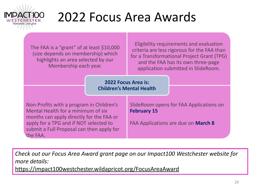

# 2022 Focus Area Awards

The FAA is a "grant" of at least \$10,000 (size depends on membership) which highlights an area selected by our Membership each year.

Eligibility requirements and evaluation criteria are less rigorous for the FAA than for a Transformational Project Grant (TPG) and the FAA has its own three-page application submitted in SlideRoom.

#### **2022 Focus Area is: Children's Mental Health**

Non-Profits with a program in Children's Mental Health for a minimum of six months can apply directly for the FAA or apply for a TPG and if NOT selected to submit a Full Proposal can then apply for the FAA.

SlideRoom opens for FAA Applications on **February 15**

FAA Applications are due on **March 8**

*Check out our Focus Area Award grant page on our Impact100 Westchester website for more details:* 

[https://impact100westchester.wildapricot.org/FocusAreaAward](https://www.google.com/url?q=https://impact100westchester.wildapricot.org/FocusAreaAward&sa=D&source=editors&ust=1636580637345000&usg=AOvVaw3VuK0qoV5Y5kKqqIJJb0Zv)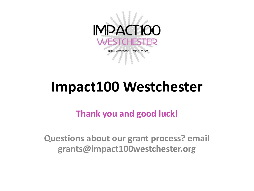

# **Impact100 Westchester**

**Thank you and good luck!**

**Questions about our grant process? email grants@impact100westchester.org**